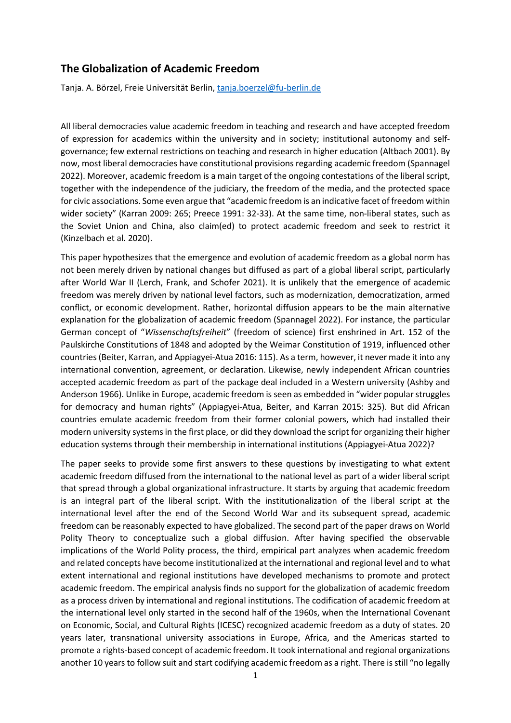# **The Globalization of Academic Freedom**

Tanja. A. Börzel, Freie Universität Berlin, [tanja.boerzel@fu-berlin.de](mailto:tanja.boerzel@fu-berlin.de)

All liberal democracies value academic freedom in teaching and research and have accepted freedom of expression for academics within the university and in society; institutional autonomy and selfgovernance; few external restrictions on teaching and research in higher education (Altbach 2001). By now, most liberal democracies have constitutional provisions regarding academic freedom (Spannagel 2022). Moreover, academic freedom is a main target of the ongoing contestations of the liberal script, together with the independence of the judiciary, the freedom of the media, and the protected space for civic associations. Some even argue that "academic freedom is an indicative facet of freedom within wider society" (Karran 2009: 265; Preece 1991: 32-33). At the same time, non-liberal states, such as the Soviet Union and China, also claim(ed) to protect academic freedom and seek to restrict it (Kinzelbach et al. 2020).

This paper hypothesizes that the emergence and evolution of academic freedom as a global norm has not been merely driven by national changes but diffused as part of a global liberal script, particularly after World War II (Lerch, Frank, and Schofer 2021). It is unlikely that the emergence of academic freedom was merely driven by national level factors, such as modernization, democratization, armed conflict, or economic development. Rather, horizontal diffusion appears to be the main alternative explanation for the globalization of academic freedom (Spannagel 2022). For instance, the particular German concept of "*Wissenschaftsfreiheit*" (freedom of science) first enshrined in Art. 152 of the Paulskirche Constitutions of 1848 and adopted by the Weimar Constitution of 1919, influenced other countries (Beiter, Karran, and Appiagyei-Atua 2016: 115). As a term, however, it never made it into any international convention, agreement, or declaration. Likewise, newly independent African countries accepted academic freedom as part of the package deal included in a Western university (Ashby and Anderson 1966). Unlike in Europe, academic freedom is seen as embedded in "wider popular struggles for democracy and human rights" (Appiagyei-Atua, Beiter, and Karran 2015: 325). But did African countries emulate academic freedom from their former colonial powers, which had installed their modern university systems in the first place, or did they download the script for organizing their higher education systems through their membership in international institutions (Appiagyei-Atua 2022)?

The paper seeks to provide some first answers to these questions by investigating to what extent academic freedom diffused from the international to the national level as part of a wider liberal script that spread through a global organizational infrastructure. It starts by arguing that academic freedom is an integral part of the liberal script. With the institutionalization of the liberal script at the international level after the end of the Second World War and its subsequent spread, academic freedom can be reasonably expected to have globalized. The second part of the paper draws on World Polity Theory to conceptualize such a global diffusion. After having specified the observable implications of the World Polity process, the third, empirical part analyzes when academic freedom and related concepts have become institutionalized at the international and regional level and to what extent international and regional institutions have developed mechanisms to promote and protect academic freedom. The empirical analysis finds no support for the globalization of academic freedom as a process driven by international and regional institutions. The codification of academic freedom at the international level only started in the second half of the 1960s, when the International Covenant on Economic, Social, and Cultural Rights (ICESC) recognized academic freedom as a duty of states. 20 years later, transnational university associations in Europe, Africa, and the Americas started to promote a rights-based concept of academic freedom. It took international and regional organizations another 10 years to follow suit and start codifying academic freedom as a right. There is still "no legally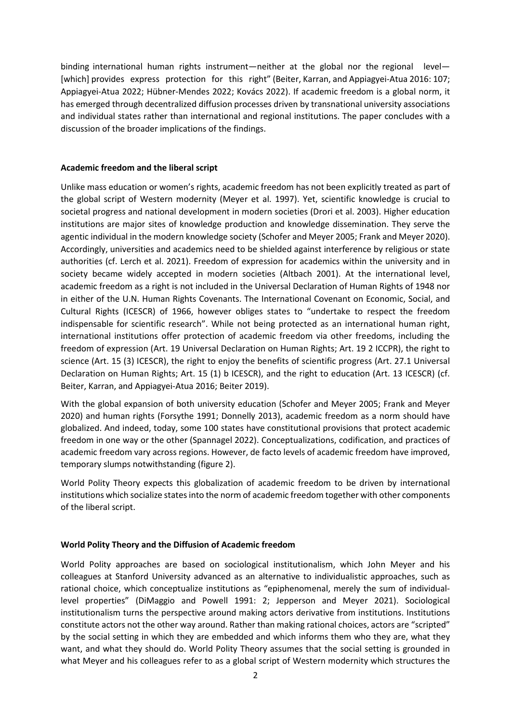binding international human rights instrument—neither at the global nor the regional level— [which] provides express protection for this right" (Beiter, Karran, and Appiagyei-Atua 2016: 107; Appiagyei-Atua 2022; Hübner-Mendes 2022; Kovács 2022). If academic freedom is a global norm, it has emerged through decentralized diffusion processes driven by transnational university associations and individual states rather than international and regional institutions. The paper concludes with a discussion of the broader implications of the findings.

#### **Academic freedom and the liberal script**

Unlike mass education or women's rights, academic freedom has not been explicitly treated as part of the global script of Western modernity (Meyer et al. 1997). Yet, scientific knowledge is crucial to societal progress and national development in modern societies (Drori et al. 2003). Higher education institutions are major sites of knowledge production and knowledge dissemination. They serve the agentic individual in the modern knowledge society (Schofer and Meyer 2005; Frank and Meyer 2020). Accordingly, universities and academics need to be shielded against interference by religious or state authorities (cf. Lerch et al. 2021). Freedom of expression for academics within the university and in society became widely accepted in modern societies (Altbach 2001). At the international level, academic freedom as a right is not included in the Universal Declaration of Human Rights of 1948 nor in either of the U.N. Human Rights Covenants. The International Covenant on Economic, Social, and Cultural Rights (ICESCR) of 1966, however obliges states to "undertake to respect the freedom indispensable for scientific research". While not being protected as an international human right, international institutions offer protection of academic freedom via other freedoms, including the freedom of expression (Art. 19 Universal Declaration on Human Rights; Art. 19 2 ICCPR), the right to science (Art. 15 (3) ICESCR), the right to enjoy the benefits of scientific progress (Art. 27.1 Universal Declaration on Human Rights; Art. 15 (1) b ICESCR), and the right to education (Art. 13 ICESCR) (cf. Beiter, Karran, and Appiagyei-Atua 2016; Beiter 2019).

With the global expansion of both university education (Schofer and Meyer 2005; Frank and Meyer 2020) and human rights (Forsythe 1991; Donnelly 2013), academic freedom as a norm should have globalized. And indeed, today, some 100 states have constitutional provisions that protect academic freedom in one way or the other (Spannagel 2022). Conceptualizations, codification, and practices of academic freedom vary across regions. However, de facto levels of academic freedom have improved, temporary slumps notwithstanding (figure 2).

World Polity Theory expects this globalization of academic freedom to be driven by international institutions which socialize states into the norm of academic freedom together with other components of the liberal script.

#### **World Polity Theory and the Diffusion of Academic freedom**

World Polity approaches are based on sociological institutionalism, which John Meyer and his colleagues at Stanford University advanced as an alternative to individualistic approaches, such as rational choice, which conceptualize institutions as "epiphenomenal, merely the sum of individuallevel properties" (DiMaggio and Powell 1991: 2; Jepperson and Meyer 2021). Sociological institutionalism turns the perspective around making actors derivative from institutions. Institutions constitute actors not the other way around. Rather than making rational choices, actors are "scripted" by the social setting in which they are embedded and which informs them who they are, what they want, and what they should do. World Polity Theory assumes that the social setting is grounded in what Meyer and his colleagues refer to as a global script of Western modernity which structures the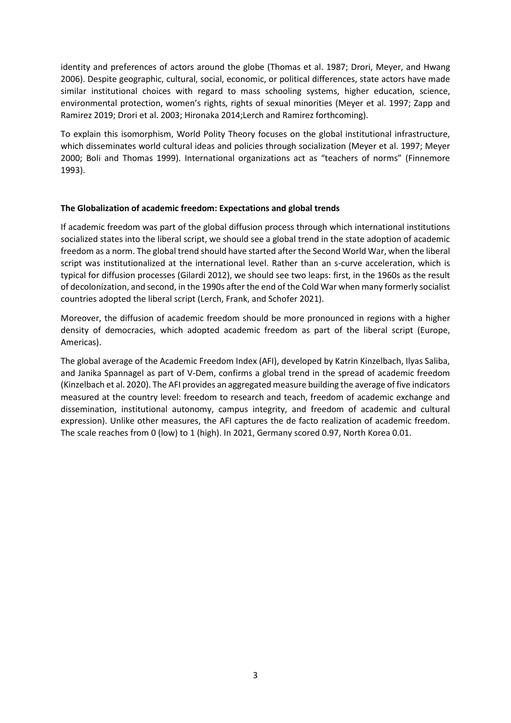identity and preferences of actors around the globe (Thomas et al. 1987; Drori, Meyer, and Hwang 2006). Despite geographic, cultural, social, economic, or political differences, state actors have made similar institutional choices with regard to mass schooling systems, higher education, science, environmental protection, women's rights, rights of sexual minorities (Meyer et al. 1997; Zapp and Ramirez 2019; Drori et al. 2003; Hironaka 2014;Lerch and Ramirez forthcoming).

To explain this isomorphism, World Polity Theory focuses on the global institutional infrastructure, which disseminates world cultural ideas and policies through socialization (Meyer et al. 1997; Meyer 2000; Boli and Thomas 1999). International organizations act as "teachers of norms" (Finnemore 1993).

## **The Globalization of academic freedom: Expectations and global trends**

If academic freedom was part of the global diffusion process through which international institutions socialized states into the liberal script, we should see a global trend in the state adoption of academic freedom as a norm. The global trend should have started after the Second World War, when the liberal script was institutionalized at the international level. Rather than an s-curve acceleration, which is typical for diffusion processes (Gilardi 2012), we should see two leaps: first, in the 1960s as the result of decolonization, and second, in the 1990s after the end of the Cold War when many formerly socialist countries adopted the liberal script (Lerch, Frank, and Schofer 2021).

Moreover, the diffusion of academic freedom should be more pronounced in regions with a higher density of democracies, which adopted academic freedom as part of the liberal script (Europe, Americas).

The global average of the Academic Freedom Index (AFI), developed by Katrin Kinzelbach, Ilyas Saliba, and Janika Spannagel as part of V-Dem, confirms a global trend in the spread of academic freedom (Kinzelbach et al. 2020). The AFI provides an aggregated measure building the average of five indicators measured at the country level: freedom to research and teach, freedom of academic exchange and dissemination, institutional autonomy, campus integrity, and freedom of academic and cultural expression). Unlike other measures, the AFI captures the de facto realization of academic freedom. The scale reaches from 0 (low) to 1 (high). In 2021, Germany scored 0.97, North Korea 0.01.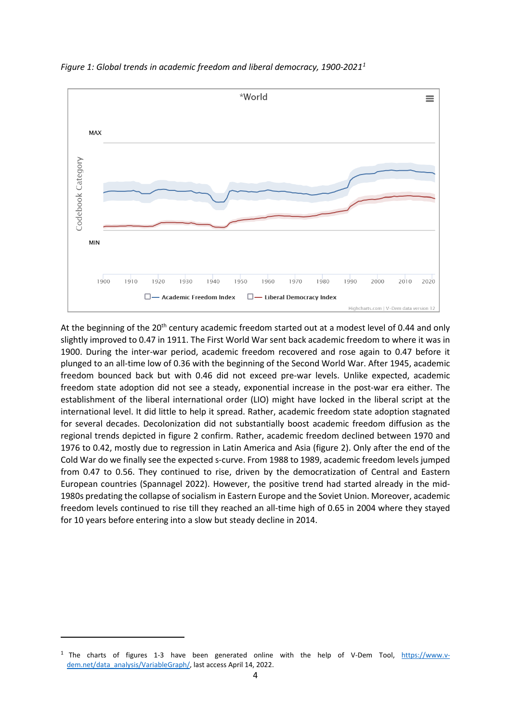

*Figure 1: Global trends in academic freedom and liberal democracy, 1900-2021[1](#page-3-0)*

At the beginning of the 20<sup>th</sup> century academic freedom started out at a modest level of 0.44 and only slightly improved to 0.47 in 1911. The First World War sent back academic freedom to where it was in 1900. During the inter-war period, academic freedom recovered and rose again to 0.47 before it plunged to an all-time low of 0.36 with the beginning of the Second World War. After 1945, academic freedom bounced back but with 0.46 did not exceed pre-war levels. Unlike expected, academic freedom state adoption did not see a steady, exponential increase in the post-war era either. The establishment of the liberal international order (LIO) might have locked in the liberal script at the international level. It did little to help it spread. Rather, academic freedom state adoption stagnated for several decades. Decolonization did not substantially boost academic freedom diffusion as the regional trends depicted in figure 2 confirm. Rather, academic freedom declined between 1970 and 1976 to 0.42, mostly due to regression in Latin America and Asia (figure 2). Only after the end of the Cold War do we finally see the expected s-curve. From 1988 to 1989, academic freedom levels jumped from 0.47 to 0.56. They continued to rise, driven by the democratization of Central and Eastern European countries (Spannagel 2022). However, the positive trend had started already in the mid-1980s predating the collapse of socialism in Eastern Europe and the Soviet Union. Moreover, academic freedom levels continued to rise till they reached an all-time high of 0.65 in 2004 where they stayed for 10 years before entering into a slow but steady decline in 2014.

<span id="page-3-0"></span> $1$  The charts of figures 1-3 have been generated online with the help of [V-Dem Tool,](https://www.v-dem.net/data_analysis/VariableGraph/) [https://www.v](https://www.v-dem.net/data_analysis/VariableGraph/)[dem.net/data\\_analysis/VariableGraph/,](https://www.v-dem.net/data_analysis/VariableGraph/) last access April 14, 2022.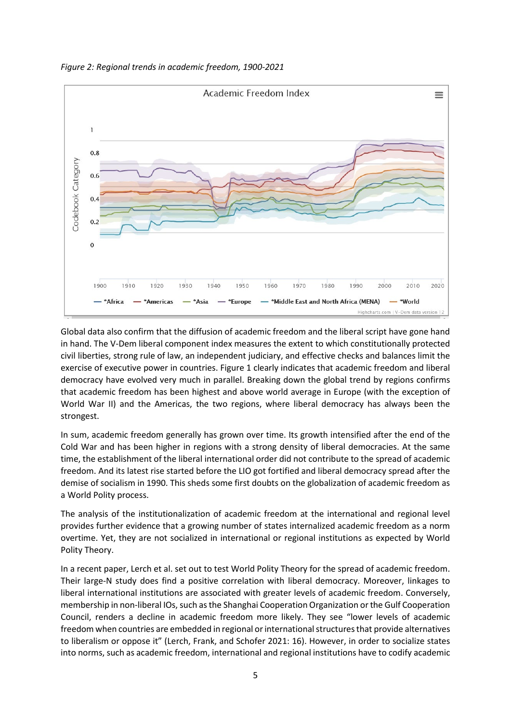



Global data also confirm that the diffusion of academic freedom and the liberal script have gone hand in hand. The V-Dem liberal component index measures the extent to which constitutionally protected civil liberties, strong rule of law, an independent judiciary, and effective checks and balances limit the exercise of executive power in countries. Figure 1 clearly indicates that academic freedom and liberal democracy have evolved very much in parallel. Breaking down the global trend by regions confirms that academic freedom has been highest and above world average in Europe (with the exception of World War II) and the Americas, the two regions, where liberal democracy has always been the strongest.

In sum, academic freedom generally has grown over time. Its growth intensified after the end of the Cold War and has been higher in regions with a strong density of liberal democracies. At the same time, the establishment of the liberal international order did not contribute to the spread of academic freedom. And its latest rise started before the LIO got fortified and liberal democracy spread after the demise of socialism in 1990. This sheds some first doubts on the globalization of academic freedom as a World Polity process.

The analysis of the institutionalization of academic freedom at the international and regional level provides further evidence that a growing number of states internalized academic freedom as a norm overtime. Yet, they are not socialized in international or regional institutions as expected by World Polity Theory.

In a recent paper, Lerch et al. set out to test World Polity Theory for the spread of academic freedom. Their large-N study does find a positive correlation with liberal democracy. Moreover, linkages to liberal international institutions are associated with greater levels of academic freedom. Conversely, membership in non-liberal IOs, such as the Shanghai Cooperation Organization or the Gulf Cooperation Council, renders a decline in academic freedom more likely. They see "lower levels of academic freedom when countries are embedded in regional or international structures that provide alternatives to liberalism or oppose it" (Lerch, Frank, and Schofer 2021: 16). However, in order to socialize states into norms, such as academic freedom, international and regional institutions have to codify academic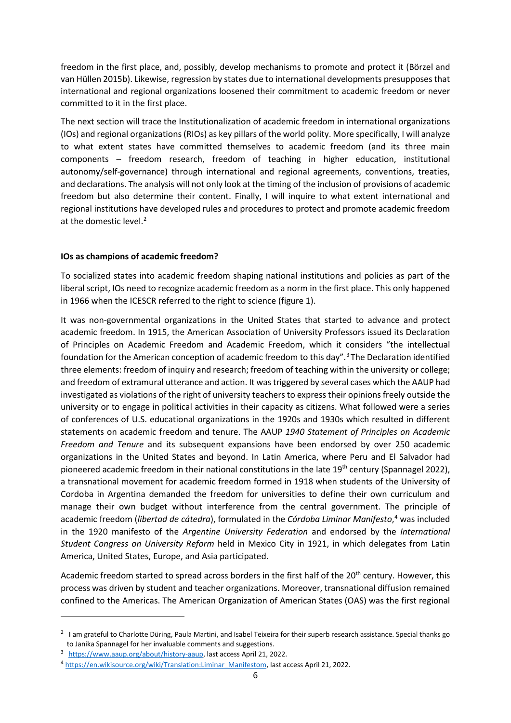freedom in the first place, and, possibly, develop mechanisms to promote and protect it (Börzel and van Hüllen 2015b). Likewise, regression by states due to international developments presupposes that international and regional organizations loosened their commitment to academic freedom or never committed to it in the first place.

The next section will trace the Institutionalization of academic freedom in international organizations (IOs) and regional organizations (RIOs) as key pillars of the world polity. More specifically, I will analyze to what extent states have committed themselves to academic freedom (and its three main components – freedom research, freedom of teaching in higher education, institutional autonomy/self-governance) through international and regional agreements, conventions, treaties, and declarations. The analysis will not only look at the timing of the inclusion of provisions of academic freedom but also determine their content. Finally, I will inquire to what extent international and regional institutions have developed rules and procedures to protect and promote academic freedom at the domestic level. $2$ 

# **IOs as champions of academic freedom?**

To socialized states into academic freedom shaping national institutions and policies as part of the liberal script, IOs need to recognize academic freedom as a norm in the first place. This only happened in 1966 when the ICESCR referred to the right to science (figure 1).

It was non-governmental organizations in the United States that started to advance and protect academic freedom. In 1915, the American Association of University Professors issued its Declaration of Principles on Academic Freedom and Academic Freedom, which it considers "the intellectual foundation for the American conception of academic freedom to this day".<sup>[3](#page-5-1)</sup> The Declaration identified three elements: freedom of inquiry and research; freedom of teaching within the university or college; and freedom of extramural utterance and action. It was triggered by several cases which the AAUP had investigated as violations of the right of university teachers to express their opinions freely outside the university or to engage in political activities in their capacity as citizens. What followed were a series of conferences of U.S. educational organizations in the 1920s and 1930s which resulted in different statements on academic freedom and tenure. The AAUP *1940 Statement of Principles on Academic Freedom and Tenure* and its subsequent expansions have been endorsed by over 250 academic organizations in the United States and beyond. In Latin America, where Peru and El Salvador had pioneered academic freedom in their national constitutions in the late 19<sup>th</sup> century (Spannagel 2022), a transnational movement for academic freedom formed in 1918 when students of the University of Cordoba in Argentina demanded the freedom for universities to define their own curriculum and manage their own budget without interference from the central government. The principle of academic freedom (*libertad de cátedra*), formulated in the *Córdoba Liminar Manifesto*, [4](#page-5-2) was included in the 1920 manifesto of the *Argentine University Federation* and endorsed by the *International Student Congress on University Reform* held in Mexico City in 1921, in which delegates from Latin America, United States, Europe, and Asia participated.

Academic freedom started to spread across borders in the first half of the 20<sup>th</sup> century. However, this process was driven by student and teacher organizations. Moreover, transnational diffusion remained confined to the Americas. The American Organization of American States (OAS) was the first regional

<span id="page-5-0"></span> $2$  I am grateful to Charlotte Düring, Paula Martini, and Isabel Teixeira for their superb research assistance. Special thanks go to Janika Spannagel for her invaluable comments and suggestions.

<span id="page-5-1"></span><sup>3</sup> [https://www.aaup.org/about/history-aaup,](https://www.aaup.org/about/history-aaup) last access April 21, 2022.

<span id="page-5-2"></span><sup>4</sup> [https://en.wikisource.org/wiki/Translation:Liminar\\_Manifestom,](https://en.wikisource.org/wiki/Translation:Liminar_Manifestom) last access April 21, 2022.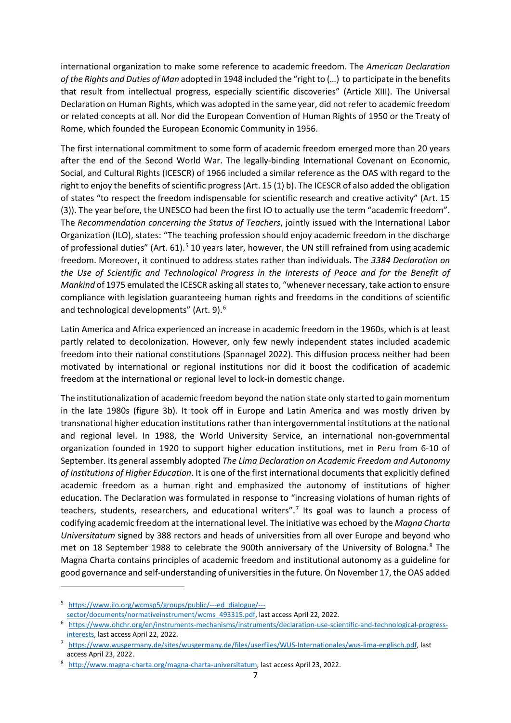international organization to make some reference to academic freedom. The *American Declaration of the Rights and Duties of Man* adopted in 1948 included the "right to (…) to participate in the benefits that result from intellectual progress, especially scientific discoveries" (Article XIII). The Universal Declaration on Human Rights, which was adopted in the same year, did not refer to academic freedom or related concepts at all. Nor did the European Convention of Human Rights of 1950 or the Treaty of Rome, which founded the European Economic Community in 1956.

The first international commitment to some form of academic freedom emerged more than 20 years after the end of the Second World War. The legally-binding International Covenant on Economic, Social, and Cultural Rights (ICESCR) of 1966 included a similar reference as the OAS with regard to the right to enjoy the benefits of scientific progress (Art. 15 (1) b). The ICESCR of also added the obligation of states "to respect the freedom indispensable for scientific research and creative activity" (Art. 15 (3)). The year before, the UNESCO had been the first IO to actually use the term "academic freedom". The *Recommendation concerning the Status of Teachers*, jointly issued with the International Labor Organization (ILO), states: "The teaching profession should enjoy academic freedom in the discharge of professional duties" (Art. 61).<sup>[5](#page-6-0)</sup> 10 years later, however, the UN still refrained from using academic freedom. Moreover, it continued to address states rather than individuals. The *3384 Declaration on the Use of Scientific and Technological Progress in the Interests of Peace and for the Benefit of Mankind* of 1975 emulated the ICESCR asking all states to, "whenever necessary, take action to ensure compliance with legislation guaranteeing human rights and freedoms in the conditions of scientific and technological developments" (Art. 9).<sup>[6](#page-6-1)</sup>

Latin America and Africa experienced an increase in academic freedom in the 1960s, which is at least partly related to decolonization. However, only few newly independent states included academic freedom into their national constitutions (Spannagel 2022). This diffusion process neither had been motivated by international or regional institutions nor did it boost the codification of academic freedom at the international or regional level to lock-in domestic change.

The institutionalization of academic freedom beyond the nation state only started to gain momentum in the late 1980s (figure 3b). It took off in Europe and Latin America and was mostly driven by transnational higher education institutions rather than intergovernmental institutions at the national and regional level. In 1988, the World University Service, an international non-governmental organization founded in 1920 to support higher education institutions, met in Peru from 6-10 of September. Its general assembly adopted *The Lima Declaration on Academic Freedom and Autonomy of Institutions of Higher Education*. It is one of the first international documents that explicitly defined academic freedom as a human right and emphasized the autonomy of institutions of higher education. The Declaration was formulated in response to "increasing violations of human rights of teachers, students, researchers, and educational writers".[7](#page-6-2) Its goal was to launch a process of codifying academic freedom at the international level. The initiative was echoed by the *Magna Charta Universitatum* signed by 388 rectors and heads of universities from all over Europe and beyond who met on 1[8](#page-6-3) September 1988 to celebrate the 900th anniversary of the University of Bologna.<sup>8</sup> The Magna Charta contains principles of academic freedom and institutional autonomy as a guideline for good governance and self-understanding of universities in the future. On November 17, the OAS added

<span id="page-6-0"></span><sup>5</sup> [https://www.ilo.org/wcmsp5/groups/public/---ed\\_dialogue/---](https://www.ilo.org/wcmsp5/groups/public/---ed_dialogue/---sector/documents/normativeinstrument/wcms_493315.pdf)

<span id="page-6-1"></span>[sector/documents/normativeinstrument/wcms\\_493315.pdf,](https://www.ilo.org/wcmsp5/groups/public/---ed_dialogue/---sector/documents/normativeinstrument/wcms_493315.pdf) last access April 22, 2022.<br><sup>6</sup> [https://www.ohchr.org/en/instruments-mechanisms/instruments/declaration-use-scientific-and-technological-progress-](https://www.ohchr.org/en/instruments-mechanisms/instruments/declaration-use-scientific-and-technological-progress-interests)

[interests,](https://www.ohchr.org/en/instruments-mechanisms/instruments/declaration-use-scientific-and-technological-progress-interests) last access April 22, 2022.

<span id="page-6-2"></span><sup>7</sup> [https://www.wusgermany.de/sites/wusgermany.de/files/userfiles/WUS-Internationales/wus-lima-englisch.pdf,](https://www.wusgermany.de/sites/wusgermany.de/files/userfiles/WUS-Internationales/wus-lima-englisch.pdf) last access April 23, 2022.

<span id="page-6-3"></span><sup>8</sup> [http://www.magna-charta.org/magna-charta-universitatum,](http://www.magna-charta.org/magna-charta-universitatum) last access April 23, 2022.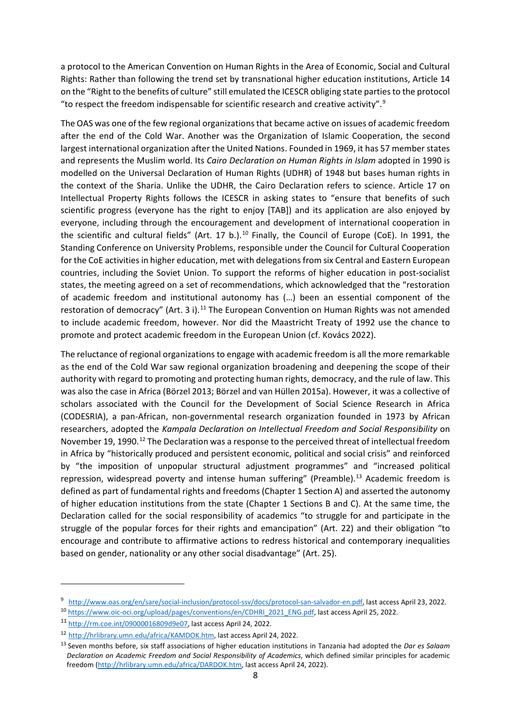a protocol to the American Convention on Human Rights in the Area of Economic, Social and Cultural Rights: Rather than following the trend set by transnational higher education institutions, Article 14 on the "Right to the benefits of culture" still emulated the ICESCR obliging state parties to the protocol "to respect the freedom indispensable for scientific research and creative activity". $9$ 

The OAS was one of the few regional organizations that became active on issues of academic freedom after the end of the Cold War. Another was the Organization of Islamic Cooperation, the second largest international organization after the United Nations. Founded in 1969, it has 57 member states and represents the Muslim world. Its *Cairo Declaration on Human Rights in Islam* adopted in 1990 is modelled on the Universal Declaration of Human Rights (UDHR) of 1948 but bases human rights in the context of the Sharia. Unlike the UDHR, the Cairo Declaration refers to science. Article 17 on Intellectual Property Rights follows the ICESCR in asking states to "ensure that benefits of such scientific progress (everyone has the right to enjoy [TAB]) and its application are also enjoyed by everyone, including through the encouragement and development of international cooperation in the scientific and cultural fields" (Art. 17 b.).<sup>[10](#page-7-1)</sup> Finally, the Council of Europe (CoE). In 1991, the Standing Conference on University Problems, responsible under the Council for Cultural Cooperation for the CoE activities in higher education, met with delegations from six Central and Eastern European countries, including the Soviet Union. To support the reforms of higher education in post-socialist states, the meeting agreed on a set of recommendations, which acknowledged that the "restoration of academic freedom and institutional autonomy has (…) been an essential component of the restoration of democracy" (Art. 3 i).<sup>[11](#page-7-2)</sup> The European Convention on Human Rights was not amended to include academic freedom, however. Nor did the Maastricht Treaty of 1992 use the chance to promote and protect academic freedom in the European Union (cf. Kovács 2022).

The reluctance of regional organizations to engage with academic freedom is all the more remarkable as the end of the Cold War saw regional organization broadening and deepening the scope of their authority with regard to promoting and protecting human rights, democracy, and the rule of law. This was also the case in Africa (Börzel 2013; Börzel and van Hüllen 2015a). However, it was a collective of scholars associated with the [Council for the Development of Social Science Research in Africa](http://www.codesria.org/) (CODESRIA), a pan-African, non-governmental research organization founded in 1973 by African researchers, adopted the *Kampala Declaration on Intellectual Freedom and Social Responsibility* on November 19, 1990.<sup>[12](#page-7-3)</sup> The Declaration was a response to the perceived threat of intellectual freedom in Africa by "historically produced and persistent economic, political and social crisis" and reinforced by "the imposition of unpopular structural adjustment programmes" and "increased political repression, widespread poverty and intense human suffering" (Preamble).<sup>[13](#page-7-4)</sup> Academic freedom is defined as part of fundamental rights and freedoms (Chapter 1 Section A) and asserted the autonomy of higher education institutions from the state (Chapter 1 Sections B and C). At the same time, the Declaration called for the social responsibility of academics "to struggle for and participate in the struggle of the popular forces for their rights and emancipation" (Art. 22) and their obligation "to encourage and contribute to affirmative actions to redress historical and contemporary inequalities based on gender, nationality or any other social disadvantage" (Art. 25).

<span id="page-7-0"></span><sup>&</sup>lt;sup>9</sup> [http://www.oas.org/en/sare/social-inclusion/protocol-ssv/docs/protocol-san-salvador-en.pdf,](http://www.oas.org/en/sare/social-inclusion/protocol-ssv/docs/protocol-san-salvador-en.pdf) last access April 23, 2022.<br><sup>10</sup> [https://www.oic-oci.org/upload/pages/conventions/en/CDHRI\\_2021\\_ENG.pdf,](https://www.oic-oci.org/upload/pages/conventions/en/CDHRI_2021_ENG.pdf) last access April 25,

<span id="page-7-1"></span>

<span id="page-7-2"></span><sup>11</sup> [http://rm.coe.int/09000016809d9e07,](http://rm.coe.int/09000016809d9e07) last access April 24, 2022.

<span id="page-7-3"></span><sup>12</sup> [http://hrlibrary.umn.edu/africa/KAMDOK.htm,](http://hrlibrary.umn.edu/africa/KAMDOK.htm) last access April 24, 2022.

<span id="page-7-4"></span><sup>13</sup> Seven months before, six staff associations of higher education institutions in Tanzania had adopted the *Dar es Salaam Declaration on Academic Freedom and Social Responsibility of Academics*, which defined similar principles for academic freedom [\(http://hrlibrary.umn.edu/africa/DARDOK.htm,](http://hrlibrary.umn.edu/africa/DARDOK.htm) last access April 24, 2022).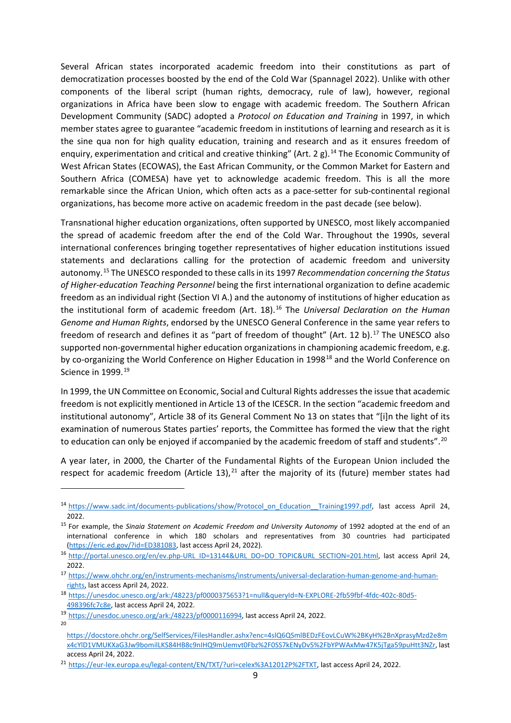Several African states incorporated academic freedom into their constitutions as part of democratization processes boosted by the end of the Cold War (Spannagel 2022). Unlike with other components of the liberal script (human rights, democracy, rule of law), however, regional organizations in Africa have been slow to engage with academic freedom. The Southern African Development Community (SADC) adopted a *Protocol on Education and Training* in 1997, in which member states agree to guarantee "academic freedom in institutions of learning and research as it is the sine qua non for high quality education, training and research and as it ensures freedom of enquiry, experimentation and critical and creative thinking" (Art. 2 g).<sup>[14](#page-8-0)</sup> The Economic Community of West African States (ECOWAS), the East African Community, or the Common Market for Eastern and Southern Africa (COMESA) have yet to acknowledge academic freedom. This is all the more remarkable since the African Union, which often acts as a pace-setter for sub-continental regional organizations, has become more active on academic freedom in the past decade (see below).

Transnational higher education organizations, often supported by UNESCO, most likely accompanied the spread of academic freedom after the end of the Cold War. Throughout the 1990s, several international conferences bringing together representatives of higher education institutions issued statements and declarations calling for the protection of academic freedom and university autonomy.[15](#page-8-1) The UNESCO responded to these calls in its 1997 *Recommendation concerning the Status of Higher-education Teaching Personnel* being the first international organization to define academic freedom as an individual right (Section VI A.) and the autonomy of institutions of higher education as the institutional form of academic freedom (Art. 18).[16](#page-8-2) The *Universal Declaration on the Human Genome and Human Rights*, endorsed by the UNESCO General Conference in the same year refers to freedom of research and defines it as "part of freedom of thought" (Art. 12 b).<sup>[17](#page-8-3)</sup> The UNESCO also supported non-governmental higher education organizations in championing academic freedom, e.g. by co-organizing the World Conference on Higher Education in 1998<sup>[18](#page-8-4)</sup> and the World Conference on Science in [19](#page-8-5)99.<sup>19</sup>

In 1999, the UN Committee on Economic, Social and Cultural Rights addresses the issue that academic freedom is not explicitly mentioned in Article 13 of the ICESCR. In the section "academic freedom and institutional autonomy", Article 38 of its General Comment No 13 on states that "[i]n the light of its examination of numerous States parties' reports, the Committee has formed the view that the right to education can only be enjoyed if accompanied by the academic freedom of staff and students".<sup>[20](#page-8-6)</sup>

A year later, in 2000, the Charter of the Fundamental Rights of the European Union included the respect for academic freedom (Article 13), $^{21}$  $^{21}$  $^{21}$  after the majority of its (future) member states had

<span id="page-8-0"></span><sup>&</sup>lt;sup>14</sup> [https://www.sadc.int/documents-publications/show/Protocol\\_on\\_Education\\_\\_Training1997.pdf,](https://www.sadc.int/documents-publications/show/Protocol_on_Education__Training1997.pdf) last access April 24, 2022.

<span id="page-8-1"></span><sup>15</sup> For example, the *Sinaia Statement on Academic Freedom and University Autonomy* of 1992 adopted at the end of an international conference in which 180 scholars and representatives from 30 countries had participated [\(https://eric.ed.gov/?id=ED381083,](https://eric.ed.gov/?id=ED381083) last access April 24, 2022).

<span id="page-8-2"></span><sup>16</sup> [http://portal.unesco.org/en/ev.php-URL\\_ID=13144&URL\\_DO=DO\\_TOPIC&URL\\_SECTION=201.html,](http://portal.unesco.org/en/ev.php-URL_ID=13144&URL_DO=DO_TOPIC&URL_SECTION=201.html) last access April 24, 2022.

<span id="page-8-3"></span><sup>17</sup> [https://www.ohchr.org/en/instruments-mechanisms/instruments/universal-declaration-human-genome-and-human-](https://www.ohchr.org/en/instruments-mechanisms/instruments/universal-declaration-human-genome-and-human-rights)

<span id="page-8-4"></span>[rights,](https://www.ohchr.org/en/instruments-mechanisms/instruments/universal-declaration-human-genome-and-human-rights) last access April 24, 2022.<br><sup>18</sup> [https://unesdoc.unesco.org/ark:/48223/pf0000375653?1=null&queryId=N-EXPLORE-2fb59fbf-4fdc-402c-80d5-](https://unesdoc.unesco.org/ark:/48223/pf0000375653?1=null&queryId=N-EXPLORE-2fb59fbf-4fdc-402c-80d5-498396fc7c8e) [498396fc7c8e,](https://unesdoc.unesco.org/ark:/48223/pf0000375653?1=null&queryId=N-EXPLORE-2fb59fbf-4fdc-402c-80d5-498396fc7c8e) last access April 24, 2022.

<span id="page-8-6"></span><span id="page-8-5"></span><sup>19</sup> [https://unesdoc.unesco.org/ark:/48223/pf0000116994,](https://unesdoc.unesco.org/ark:/48223/pf0000116994) last access April 24, 2022. 20

[https://docstore.ohchr.org/SelfServices/FilesHandler.ashx?enc=4slQ6QSmlBEDzFEovLCuW%2BKyH%2BnXprasyMzd2e8m](https://docstore.ohchr.org/SelfServices/FilesHandler.ashx?enc=4slQ6QSmlBEDzFEovLCuW%2BKyH%2BnXprasyMzd2e8mx4cYlD1VMUKXaG3Jw9bomilLKS84HB8c9nIHQ9mUemvt0Fbz%2F0SS7kENyDv5%2FbYPWAxMw47K5jTga59puHtt3NZr) [x4cYlD1VMUKXaG3Jw9bomilLKS84HB8c9nIHQ9mUemvt0Fbz%2F0SS7kENyDv5%2FbYPWAxMw47K5jTga59puHtt3NZr,](https://docstore.ohchr.org/SelfServices/FilesHandler.ashx?enc=4slQ6QSmlBEDzFEovLCuW%2BKyH%2BnXprasyMzd2e8mx4cYlD1VMUKXaG3Jw9bomilLKS84HB8c9nIHQ9mUemvt0Fbz%2F0SS7kENyDv5%2FbYPWAxMw47K5jTga59puHtt3NZr) last access April 24, 2022.

<span id="page-8-7"></span><sup>21</sup> [https://eur-lex.europa.eu/legal-content/EN/TXT/?uri=celex%3A12012P%2FTXT,](https://eur-lex.europa.eu/legal-content/EN/TXT/?uri=celex%3A12012P%2FTXT) last access April 24, 2022.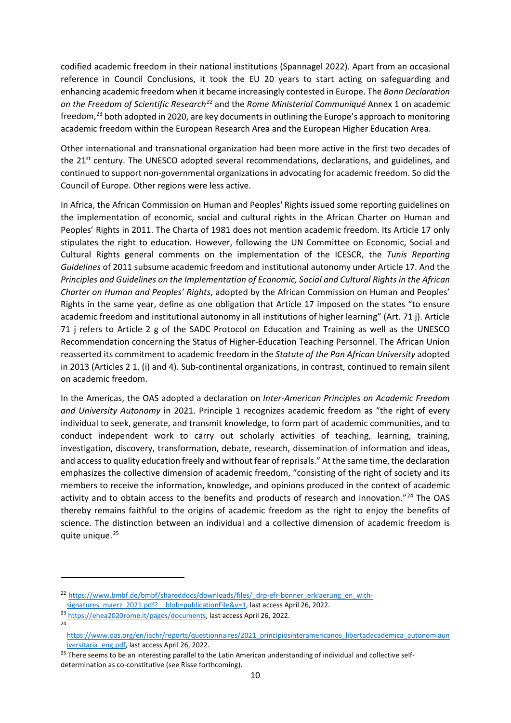codified academic freedom in their national institutions (Spannagel 2022). Apart from an occasional reference in Council Conclusions, it took the EU 20 years to start acting on safeguarding and enhancing academic freedom when it became increasingly contested in Europe. The *Bonn Declaration on the Freedom of Scientific Research[22](#page-9-0)* and the *Rome Ministerial Communiqué* Annex 1 on academic freedom,<sup>[23](#page-9-1)</sup> both adopted in 2020, are key documents in outlining the Europe's approach to monitoring academic freedom within the European Research Area and the European Higher Education Area.

Other international and transnational organization had been more active in the first two decades of the  $21<sup>st</sup>$  century. The UNESCO adopted several recommendations, declarations, and guidelines, and continued to support non-governmental organizations in advocating for academic freedom. So did the Council of Europe. Other regions were less active.

In Africa, the African Commission on Human and Peoples' Rights issued some reporting guidelines on the implementation of economic, social and cultural rights in the African Charter on Human and Peoples' Rights in 2011. The Charta of 1981 does not mention academic freedom. Its Article 17 only stipulates the right to education. However, following the UN Committee on Economic, Social and Cultural Rights general comments on the implementation of the ICESCR, the *Tunis Reporting Guidelines* of 2011 subsume academic freedom and institutional autonomy under Article 17. And the *Principles and Guidelines on the Implementation of Economic, Social and Cultural Rights in the African Charter on Human and Peoples' Rights*, adopted by the African Commission on Human and Peoples' Rights in the same year, define as one obligation that Article 17 imposed on the states "to ensure academic freedom and institutional autonomy in all institutions of higher learning" (Art. 71 j). Article 71 j refers to Article 2 g of the SADC Protocol on Education and Training as well as the UNESCO Recommendation concerning the Status of Higher-Education Teaching Personnel. The African Union reasserted its commitment to academic freedom in the *Statute of the Pan African University* adopted in 2013 (Articles 2 1. (i) and 4). Sub-continental organizations, in contrast, continued to remain silent on academic freedom.

In the Americas, the OAS adopted a declaration on *Inter-American Principles on Academic Freedom and University Autonomy* in 2021. Principle 1 recognizes academic freedom as "the right of every individual to seek, generate, and transmit knowledge, to form part of academic communities, and to conduct independent work to carry out scholarly activities of teaching, learning, training, investigation, discovery, transformation, debate, research, dissemination of information and ideas, and access to quality education freely and without fear of reprisals." At the same time, the declaration emphasizes the collective dimension of academic freedom, "consisting of the right of society and its members to receive the information, knowledge, and opinions produced in the context of academic activity and to obtain access to the benefits and products of research and innovation."<sup>[24](#page-9-2)</sup> The OAS thereby remains faithful to the origins of academic freedom as the right to enjoy the benefits of science. The distinction between an individual and a collective dimension of academic freedom is quite unique. $25$ 

<span id="page-9-0"></span><sup>&</sup>lt;sup>22</sup> [https://www.bmbf.de/bmbf/shareddocs/downloads/files/\\_drp-efr-bonner\\_erklaerung\\_en\\_with-](https://www.bmbf.de/bmbf/shareddocs/downloads/files/_drp-efr-bonner_erklaerung_en_with-signatures_maerz_2021.pdf?__blob=publicationFile&v=1)

<span id="page-9-1"></span>signatures\_maerz\_2021.pdf? blob=publicationFile&v=1, last access April 26, 2022.

<span id="page-9-2"></span><sup>23</sup> [https://ehea2020rome.it/pages/documents,](https://ehea2020rome.it/pages/documents) last access April 26, 2022. 24

[https://www.oas.org/en/iachr/reports/questionnaires/2021\\_principiosinteramericanos\\_libertadacademica\\_autonomiaun](https://www.oas.org/en/iachr/reports/questionnaires/2021_principiosinteramericanos_libertadacademica_autonomiauniversitaria_eng.pdf) [iversitaria\\_eng.pdf,](https://www.oas.org/en/iachr/reports/questionnaires/2021_principiosinteramericanos_libertadacademica_autonomiauniversitaria_eng.pdf) last access April 26, 2022.

<span id="page-9-3"></span><sup>&</sup>lt;sup>25</sup> There seems to be an interesting parallel to the Latin American understanding of individual and collective selfdetermination as co-constitutive (see Risse forthcoming).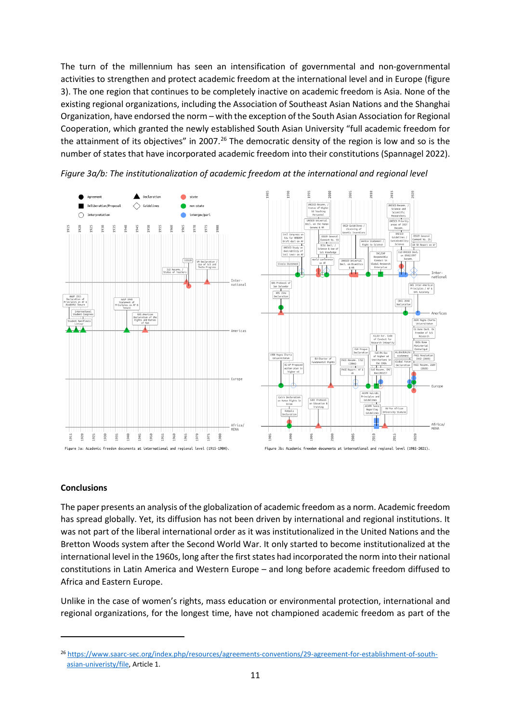The turn of the millennium has seen an intensification of governmental and non-governmental activities to strengthen and protect academic freedom at the international level and in Europe (figure 3). The one region that continues to be completely inactive on academic freedom is Asia. None of the existing regional organizations, including the Association of Southeast Asian Nations and the Shanghai Organization, have endorsed the norm – with the exception of the South Asian Association for Regional Cooperation, which granted the newly established South Asian University "full academic freedom for the attainment of its objectives" in 2007.<sup>[26](#page-10-0)</sup> The democratic density of the region is low and so is the number of states that have incorporated academic freedom into their constitutions (Spannagel 2022).



*Figure 3a/b: The institutionalization of academic freedom at the international and regional level*

#### **Conclusions**

 $\overline{a}$ 

The paper presents an analysis of the globalization of academic freedom as a norm. Academic freedom has spread globally. Yet, its diffusion has not been driven by international and regional institutions. It was not part of the liberal international order as it was institutionalized in the United Nations and the Bretton Woods system after the Second World War. It only started to become institutionalized at the international level in the 1960s, long after the first states had incorporated the norm into their national constitutions in Latin America and Western Europe – and long before academic freedom diffused to Africa and Eastern Europe.

Unlike in the case of women's rights, mass education or environmental protection, international and regional organizations, for the longest time, have not championed academic freedom as part of the

<span id="page-10-0"></span><sup>26</sup> [https://www.saarc-sec.org/index.php/resources/agreements-conventions/29-agreement-for-establishment-of-south](https://www.saarc-sec.org/index.php/resources/agreements-conventions/29-agreement-for-establishment-of-south-asian-univeristy/file)[asian-univeristy/file,](https://www.saarc-sec.org/index.php/resources/agreements-conventions/29-agreement-for-establishment-of-south-asian-univeristy/file) Article 1.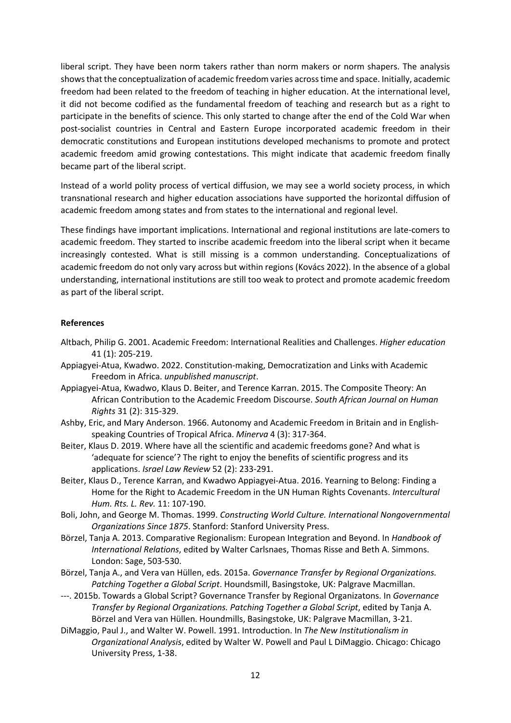liberal script. They have been norm takers rather than norm makers or norm shapers. The analysis shows that the conceptualization of academic freedom varies across time and space. Initially, academic freedom had been related to the freedom of teaching in higher education. At the international level, it did not become codified as the fundamental freedom of teaching and research but as a right to participate in the benefits of science. This only started to change after the end of the Cold War when post-socialist countries in Central and Eastern Europe incorporated academic freedom in their democratic constitutions and European institutions developed mechanisms to promote and protect academic freedom amid growing contestations. This might indicate that academic freedom finally became part of the liberal script.

Instead of a world polity process of vertical diffusion, we may see a world society process, in which transnational research and higher education associations have supported the horizontal diffusion of academic freedom among states and from states to the international and regional level.

These findings have important implications. International and regional institutions are late-comers to academic freedom. They started to inscribe academic freedom into the liberal script when it became increasingly contested. What is still missing is a common understanding. Conceptualizations of academic freedom do not only vary across but within regions (Kovács 2022). In the absence of a global understanding, international institutions are still too weak to protect and promote academic freedom as part of the liberal script.

## **References**

- Altbach, Philip G. 2001. Academic Freedom: International Realities and Challenges. *Higher education* 41 (1): 205-219.
- Appiagyei-Atua, Kwadwo. 2022. Constitution-making, Democratization and Links with Academic Freedom in Africa. *unpublished manuscript*.
- Appiagyei-Atua, Kwadwo, Klaus D. Beiter, and Terence Karran. 2015. The Composite Theory: An African Contribution to the Academic Freedom Discourse. *South African Journal on Human Rights* 31 (2): 315-329.
- Ashby, Eric, and Mary Anderson. 1966. Autonomy and Academic Freedom in Britain and in Englishspeaking Countries of Tropical Africa. *Minerva* 4 (3): 317-364.
- Beiter, Klaus D. 2019. Where have all the scientific and academic freedoms gone? And what is 'adequate for science'? The right to enjoy the benefits of scientific progress and its applications. *Israel Law Review* 52 (2): 233-291.
- Beiter, Klaus D., Terence Karran, and Kwadwo Appiagyei-Atua. 2016. Yearning to Belong: Finding a Home for the Right to Academic Freedom in the UN Human Rights Covenants. *Intercultural Hum. Rts. L. Rev.* 11: 107-190.
- Boli, John, and George M. Thomas. 1999. *Constructing World Culture. International Nongovernmental Organizations Since 1875*. Stanford: Stanford University Press.
- Börzel, Tanja A. 2013. Comparative Regionalism: European Integration and Beyond. In *Handbook of International Relations*, edited by Walter Carlsnaes, Thomas Risse and Beth A. Simmons. London: Sage, 503-530.
- Börzel, Tanja A., and Vera van Hüllen, eds. 2015a. *Governance Transfer by Regional Organizations. Patching Together a Global Script*. Houndsmill, Basingstoke, UK: Palgrave Macmillan.
- ---. 2015b. Towards a Global Script? Governance Transfer by Regional Organizatons. In *Governance Transfer by Regional Organizations. Patching Together a Global Script*, edited by Tanja A. Börzel and Vera van Hüllen. Houndmills, Basingstoke, UK: Palgrave Macmillan, 3-21.
- DiMaggio, Paul J., and Walter W. Powell. 1991. Introduction. In *The New Institutionalism in Organizational Analysis*, edited by Walter W. Powell and Paul L DiMaggio. Chicago: Chicago University Press, 1-38.